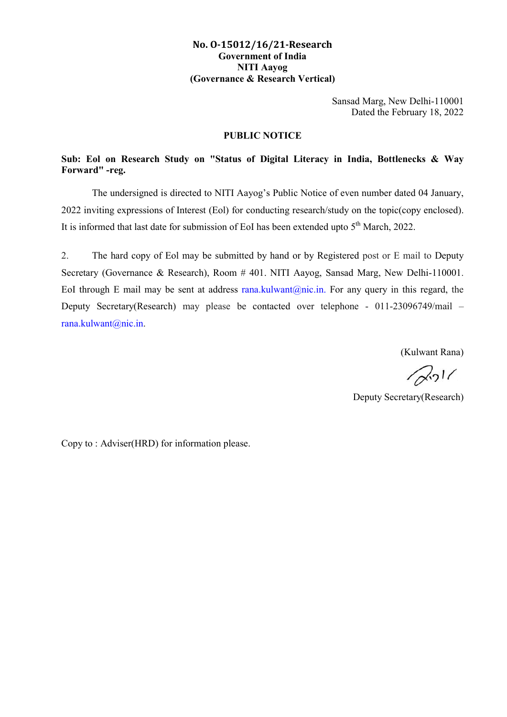#### No. O-15012/16/21-Research Government of India NITI Aayog (Governance & Research Vertical)

Sansad Marg, New Delhi-110001 Dated the February 18, 2022

#### PUBLIC NOTICE

### Sub: Eol on Research Study on "Status of Digital Literacy in India, Bottlenecks & Way Forward" -reg.

The undersigned is directed to NITI Aayog's Public Notice of even number dated 04 January, 2022 inviting expressions of Interest (Eol) for conducting research/study on the topic(copy enclosed). It is informed that last date for submission of EoI has been extended upto  $5<sup>th</sup>$  March, 2022.

2. The hard copy of Eol may be submitted by hand or by Registered post or E mail to Deputy Secretary (Governance & Research), Room # 401. NITI Aayog, Sansad Marg, New Delhi-110001. EoI through E mail may be sent at address rana.kulwant@nic.in. For any query in this regard, the Deputy Secretary(Research) may please be contacted over telephone - 011-23096749/mail – rana.kulwant@nic.in.

(Kulwant Rana)

 $2011$ 

Deputy Secretary(Research)

Copy to : Adviser(HRD) for information please.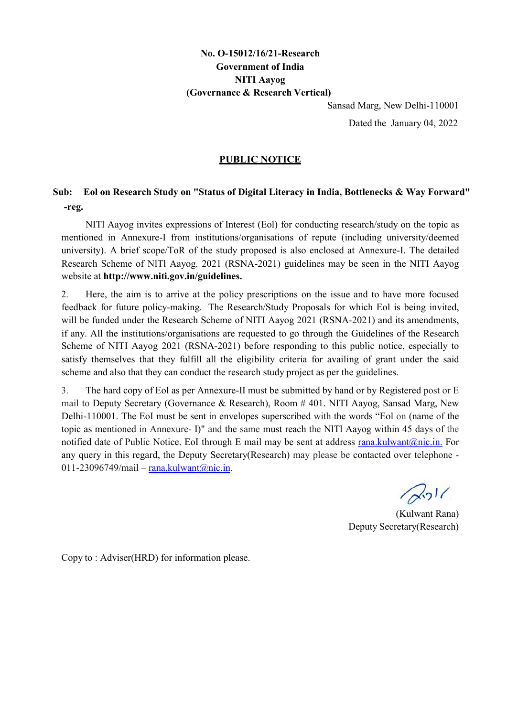# No. O-15012/16/21-Research Government of India NITI Aayog (Governance & Research Vertical)

Sansad Marg, New Delhi-110001

Dated the January 04, 2022

#### PUBLIC NOTICE

# Sub: Eol on Research Study on "Status of Digital Literacy in India, Bottlenecks & Way Forward" -reg.

NITl Aayog invites expressions of Interest (Eol) for conducting research/study on the topic as mentioned in Annexure-I from institutions/organisations of repute (including university/deemed university). A brief scope/ToR of the study proposed is also enclosed at Annexure-I. The detailed Research Scheme of NlTl Aayog. 2021 (RSNA-2021) guidelines may be seen in the NITI Aayog website at http://www.niti.gov.in/guidelines.

2. Here, the aim is to arrive at the policy prescriptions on the issue and to have more focused feedback for future policy-making. The Research/Study Proposals for which Eol is being invited, will be funded under the Research Scheme of NITI Aayog 2021 (RSNA-2021) and its amendments, if any. All the institutions/organisations are requested to go through the Guidelines of the Research Scheme of NITI Aayog 2021 (RSNA-2021) before responding to this public notice, especially to satisfy themselves that they fulfill all the eligibility criteria for availing of grant under the said scheme and also that they can conduct the research study project as per the guidelines.

3. The hard copy of Eol as per Annexure-II must be submitted by hand or by Registered post or E mail to Deputy Secretary (Governance & Research), Room # 401. NITI Aayog, Sansad Marg, New Delhi-110001. The EoI must be sent in envelopes superscribed with the words "Eol on (name of the topic as mentioned in Annexure- I)" and the same must reach the NlTl Aayog within 45 days of the notified date of Public Notice. EoI through E mail may be sent at address rana.kulwant@nic.in. For any query in this regard, the Deputy Secretary(Research) may please be contacted over telephone - 011-23096749/mail – rana.kulwant@nic.in.

 $2011$ 

(Kulwant Rana) Deputy Secretary(Research)

Copy to : Adviser(HRD) for information please.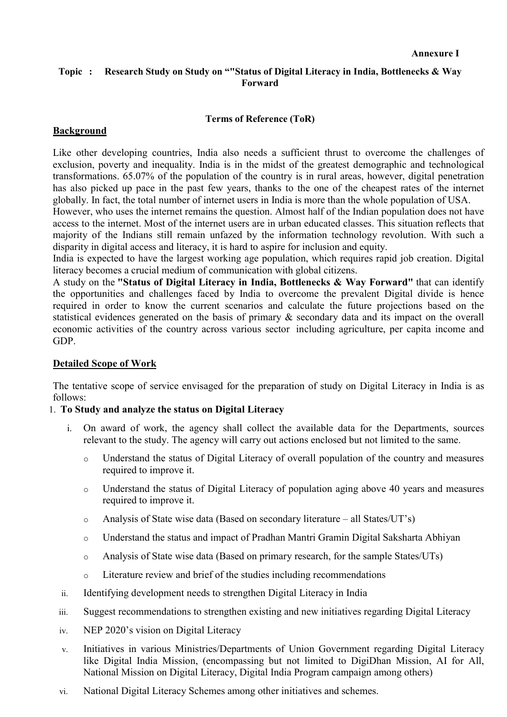### Topic: Research Study on Study on ""Status of Digital Literacy in India, Bottlenecks & Way Forward

### Terms of Reference (ToR)

### Background

Like other developing countries, India also needs a sufficient thrust to overcome the challenges of exclusion, poverty and inequality. India is in the midst of the greatest demographic and technological transformations. 65.07% of the population of the country is in rural areas, however, digital penetration has also picked up pace in the past few years, thanks to the one of the cheapest rates of the internet globally. In fact, the total number of internet users in India is more than the whole population of USA.

However, who uses the internet remains the question. Almost half of the Indian population does not have access to the internet. Most of the internet users are in urban educated classes. This situation reflects that majority of the Indians still remain unfazed by the information technology revolution. With such a disparity in digital access and literacy, it is hard to aspire for inclusion and equity.

India is expected to have the largest working age population, which requires rapid job creation. Digital literacy becomes a crucial medium of communication with global citizens.

A study on the "Status of Digital Literacy in India, Bottlenecks & Way Forward" that can identify the opportunities and challenges faced by India to overcome the prevalent Digital divide is hence required in order to know the current scenarios and calculate the future projections based on the statistical evidences generated on the basis of primary & secondary data and its impact on the overall economic activities of the country across various sector including agriculture, per capita income and GDP.

#### Detailed Scope of Work

The tentative scope of service envisaged for the preparation of study on Digital Literacy in India is as follows:

#### 1. To Study and analyze the status on Digital Literacy

- i. On award of work, the agency shall collect the available data for the Departments, sources relevant to the study. The agency will carry out actions enclosed but not limited to the same.
	- o Understand the status of Digital Literacy of overall population of the country and measures required to improve it.
	- o Understand the status of Digital Literacy of population aging above 40 years and measures required to improve it.
	- o Analysis of State wise data (Based on secondary literature all States/UT's)
	- o Understand the status and impact of Pradhan Mantri Gramin Digital Saksharta Abhiyan
	- o Analysis of State wise data (Based on primary research, for the sample States/UTs)
	- o Literature review and brief of the studies including recommendations
- ii. Identifying development needs to strengthen Digital Literacy in India
- iii. Suggest recommendations to strengthen existing and new initiatives regarding Digital Literacy
- iv. NEP 2020's vision on Digital Literacy
- v. Initiatives in various Ministries/Departments of Union Government regarding Digital Literacy like Digital India Mission, (encompassing but not limited to DigiDhan Mission, AI for All, National Mission on Digital Literacy, Digital India Program campaign among others)
- vi. National Digital Literacy Schemes among other initiatives and schemes.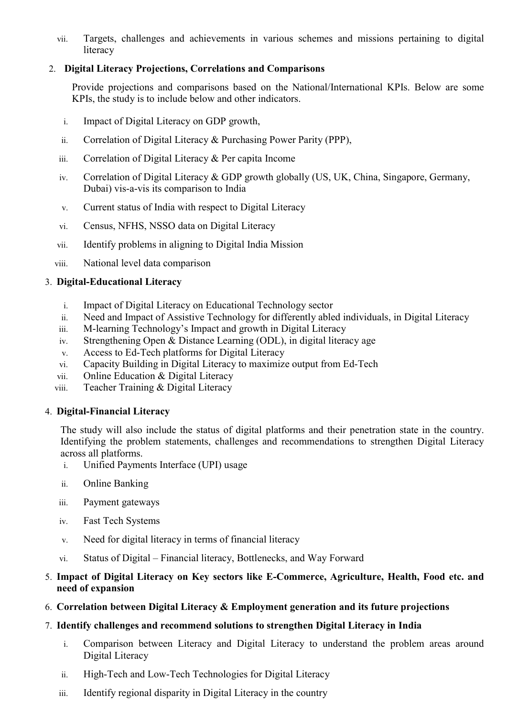vii. Targets, challenges and achievements in various schemes and missions pertaining to digital literacy

## 2. Digital Literacy Projections, Correlations and Comparisons

Provide projections and comparisons based on the National/International KPIs. Below are some KPIs, the study is to include below and other indicators.

- i. Impact of Digital Literacy on GDP growth,
- ii. Correlation of Digital Literacy & Purchasing Power Parity (PPP),
- iii. Correlation of Digital Literacy & Per capita Income
- iv. Correlation of Digital Literacy & GDP growth globally (US, UK, China, Singapore, Germany, Dubai) vis-a-vis its comparison to India
- v. Current status of India with respect to Digital Literacy
- vi. Census, NFHS, NSSO data on Digital Literacy
- vii. Identify problems in aligning to Digital India Mission
- viii. National level data comparison

### 3. Digital-Educational Literacy

- i. Impact of Digital Literacy on Educational Technology sector
- ii. Need and Impact of Assistive Technology for differently abled individuals, in Digital Literacy
- iii. M-learning Technology's Impact and growth in Digital Literacy
- iv. Strengthening Open & Distance Learning (ODL), in digital literacy age
- v. Access to Ed-Tech platforms for Digital Literacy
- vi. Capacity Building in Digital Literacy to maximize output from Ed-Tech
- vii. Online Education & Digital Literacy
- viii. Teacher Training & Digital Literacy

## 4. Digital-Financial Literacy

The study will also include the status of digital platforms and their penetration state in the country. Identifying the problem statements, challenges and recommendations to strengthen Digital Literacy across all platforms.

- i. Unified Payments Interface (UPI) usage
- ii. Online Banking
- iii. Payment gateways
- iv. Fast Tech Systems
- v. Need for digital literacy in terms of financial literacy
- vi. Status of Digital Financial literacy, Bottlenecks, and Way Forward

## 5. Impact of Digital Literacy on Key sectors like E-Commerce, Agriculture, Health, Food etc. and need of expansion

6. Correlation between Digital Literacy & Employment generation and its future projections

## 7. Identify challenges and recommend solutions to strengthen Digital Literacy in India

- i. Comparison between Literacy and Digital Literacy to understand the problem areas around Digital Literacy
- ii. High-Tech and Low-Tech Technologies for Digital Literacy
- iii. Identify regional disparity in Digital Literacy in the country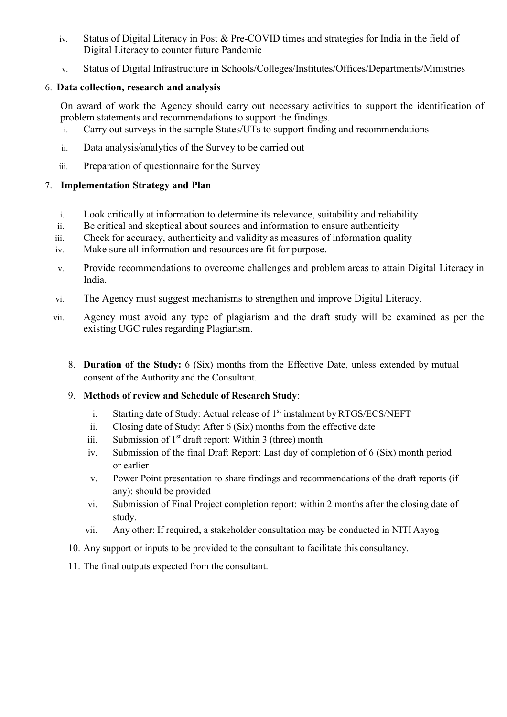- iv. Status of Digital Literacy in Post & Pre-COVID times and strategies for India in the field of Digital Literacy to counter future Pandemic
- v. Status of Digital Infrastructure in Schools/Colleges/Institutes/Offices/Departments/Ministries

## 6. Data collection, research and analysis

On award of work the Agency should carry out necessary activities to support the identification of problem statements and recommendations to support the findings.

- i. Carry out surveys in the sample States/UTs to support finding and recommendations
- ii. Data analysis/analytics of the Survey to be carried out
- iii. Preparation of questionnaire for the Survey

## 7. Implementation Strategy and Plan

- i. Look critically at information to determine its relevance, suitability and reliability
- ii. Be critical and skeptical about sources and information to ensure authenticity
- iii. Check for accuracy, authenticity and validity as measures of information quality
- iv. Make sure all information and resources are fit for purpose.
- v. Provide recommendations to overcome challenges and problem areas to attain Digital Literacy in India.
- vi. The Agency must suggest mechanisms to strengthen and improve Digital Literacy.
- vii. Agency must avoid any type of plagiarism and the draft study will be examined as per the existing UGC rules regarding Plagiarism.
	- 8. Duration of the Study: 6 (Six) months from the Effective Date, unless extended by mutual consent of the Authority and the Consultant.
	- 9. Methods of review and Schedule of Research Study:
		- i. Starting date of Study: Actual release of  $1<sup>st</sup>$  instalment by RTGS/ECS/NEFT
		- ii. Closing date of Study: After 6 (Six) months from the effective date
		- iii. Submission of  $1<sup>st</sup>$  draft report: Within 3 (three) month
		- iv. Submission of the final Draft Report: Last day of completion of 6 (Six) month period or earlier
		- v. Power Point presentation to share findings and recommendations of the draft reports (if any): should be provided
		- vi. Submission of Final Project completion report: within 2 months after the closing date of study.
		- vii. Any other: If required, a stakeholder consultation may be conducted in NITI Aayog
	- 10. Any support or inputs to be provided to the consultant to facilitate this consultancy.
	- 11. The final outputs expected from the consultant.